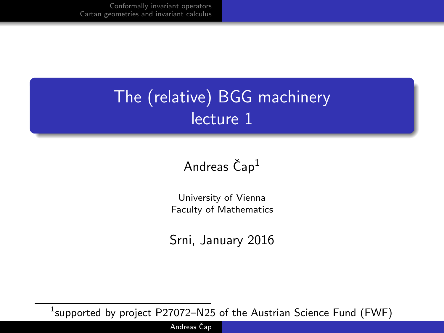## The (relative) BGG machinery lecture 1

## Andreas  $\text{Čap}^1$

University of Vienna Faculty of Mathematics

Srni, January 2016

 $^1$ supported by project <code>P27072–N25</code> of the Austrian Science Fund (FWF)

Andreas Čap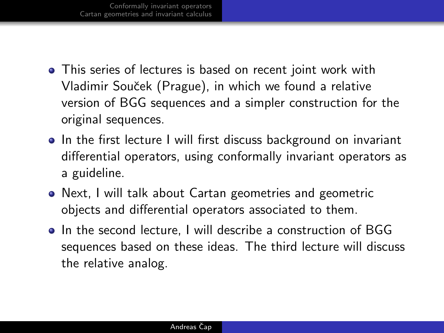- This series of lectures is based on recent joint work with Vladimir Souˇcek (Prague), in which we found a relative version of BGG sequences and a simpler construction for the original sequences.
- In the first lecture I will first discuss background on invariant differential operators, using conformally invariant operators as a guideline.
- Next, I will talk about Cartan geometries and geometric objects and differential operators associated to them.
- In the second lecture, I will describe a construction of BGG sequences based on these ideas. The third lecture will discuss the relative analog.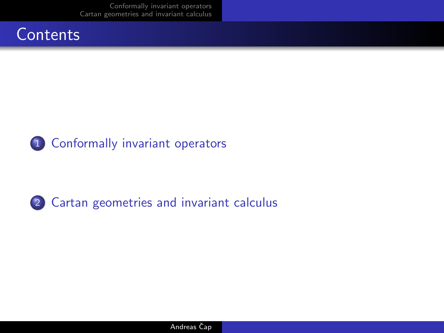[Conformally invariant operators](#page-3-0) [Cartan geometries and invariant calculus](#page-9-0)





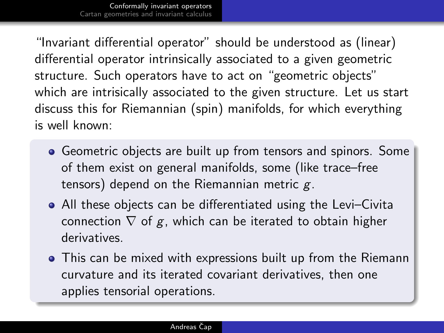"Invariant differential operator" should be understood as (linear) differential operator intrinsically associated to a given geometric structure. Such operators have to act on "geometric objects" which are intrisically associated to the given structure. Let us start discuss this for Riemannian (spin) manifolds, for which everything is well known:

- Geometric objects are built up from tensors and spinors. Some of them exist on general manifolds, some (like trace–free tensors) depend on the Riemannian metric  $g$ .
- All these objects can be differentiated using the Levi–Civita connection  $\nabla$  of g, which can be iterated to obtain higher derivatives.
- <span id="page-3-0"></span>This can be mixed with expressions built up from the Riemann curvature and its iterated covariant derivatives, then one applies tensorial operations.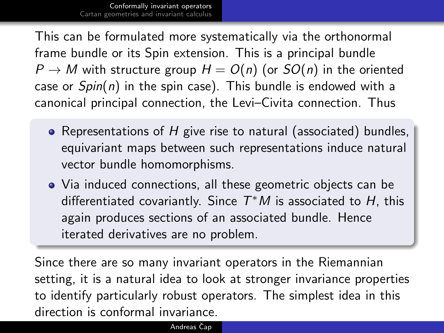This can be formulated more systematically via the orthonormal frame bundle or its Spin extension. This is a principal bundle  $P \to M$  with structure group  $H = O(n)$  (or  $SO(n)$  in the oriented case or  $Spin(n)$  in the spin case). This bundle is endowed with a canonical principal connection, the Levi–Civita connection. Thus

- Representations of  $H$  give rise to natural (associated) bundles, equivariant maps between such representations induce natural vector bundle homomorphisms.
- Via induced connections, all these geometric objects can be differentiated covariantly. Since  $T^*M$  is associated to H, this again produces sections of an associated bundle. Hence iterated derivatives are no problem.

Since there are so many invariant operators in the Riemannian setting, it is a natural idea to look at stronger invariance properties to identify particularly robust operators. The simplest idea in this direction is conformal invariance.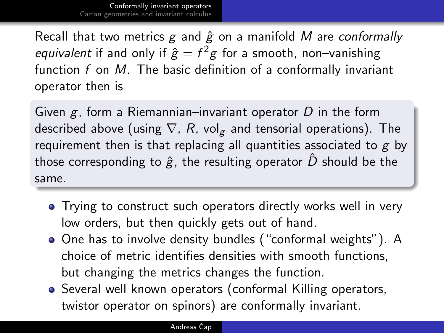Recall that two metrics  $g$  and  $\hat{g}$  on a manifold M are conformally *equivalent* if and only if  $\hat{g} = f^2 g$  for a smooth, non–vanishing function  $f$  on  $M$ . The basic definition of a conformally invariant operator then is

Given  $g$ , form a Riemannian–invariant operator  $D$  in the form described above (using  $\nabla$ , R, vol<sub>g</sub> and tensorial operations). The requirement then is that replacing all quantities associated to  $g$  by those corresponding to  $\hat{g}$ , the resulting operator  $\hat{D}$  should be the same.

- Trying to construct such operators directly works well in very low orders, but then quickly gets out of hand.
- One has to involve density bundles ("conformal weights"). A choice of metric identifies densities with smooth functions, but changing the metrics changes the function.
- Several well known operators (conformal Killing operators, twistor operator on spinors) are conformally invariant.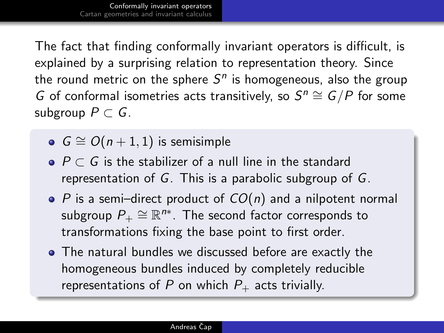The fact that finding conformally invariant operators is difficult, is explained by a surprising relation to representation theory. Since the round metric on the sphere  $S^n$  is homogeneous, also the group G of conformal isometries acts transitively, so  $S^n \cong G/P$  for some subgroup  $P \subset G$ .

- $G \cong O(n+1, 1)$  is semisimple
- $\bullet$  P  $\subset$  G is the stabilizer of a null line in the standard representation of G. This is a parabolic subgroup of G.
- $\bullet$  P is a semi-direct product of  $CO(n)$  and a nilpotent normal subgroup  $P_+\cong \mathbb{R}^{n*}.$  The second factor corresponds to transformations fixing the base point to first order.
- The natural bundles we discussed before are exactly the homogeneous bundles induced by completely reducible representations of P on which  $P_+$  acts trivially.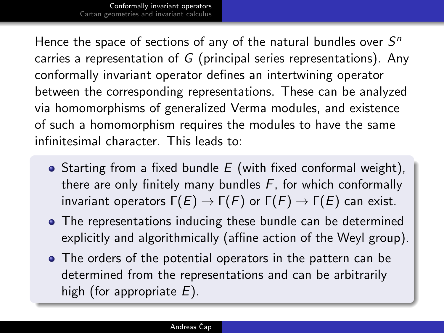Hence the space of sections of any of the natural bundles over  $S<sup>n</sup>$ carries a representation of G (principal series representations). Any conformally invariant operator defines an intertwining operator between the corresponding representations. These can be analyzed via homomorphisms of generalized Verma modules, and existence of such a homomorphism requires the modules to have the same infinitesimal character. This leads to:

- Starting from a fixed bundle  $E$  (with fixed conformal weight), there are only finitely many bundles  $F$ , for which conformally invariant operators  $\Gamma(E) \to \Gamma(F)$  or  $\Gamma(F) \to \Gamma(E)$  can exist.
- The representations inducing these bundle can be determined explicitly and algorithmically (affine action of the Weyl group).
- The orders of the potential operators in the pattern can be determined from the representations and can be arbitrarily high (for appropriate  $E$ ).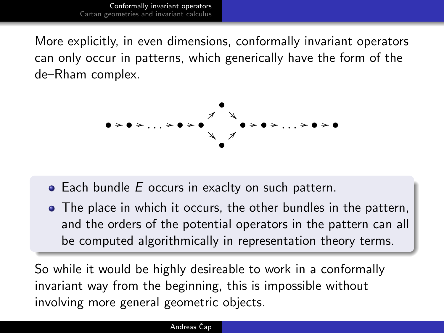More explicitly, in even dimensions, conformally invariant operators can only occur in patterns, which generically have the form of the de–Rham complex.



- $\bullet$  Each bundle E occurs in exaclty on such pattern.
- The place in which it occurs, the other bundles in the pattern, and the orders of the potential operators in the pattern can all be computed algorithmically in representation theory terms.

So while it would be highly desireable to work in a conformally invariant way from the beginning, this is impossible without involving more general geometric objects.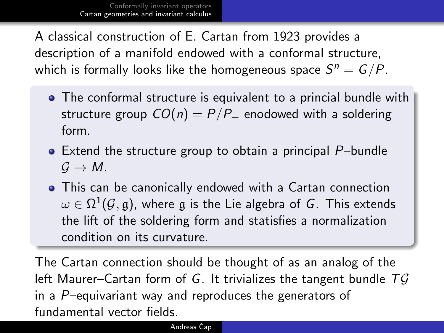A classical construction of E. Cartan from 1923 provides a description of a manifold endowed with a conformal structure, which is formally looks like the homogeneous space  $\mathcal{S}^n = \mathcal{G}/P.$ 

- The conformal structure is equivalent to a princial bundle with structure group  $CO(n) = P/P_+$  enodowed with a soldering form.
- Extend the structure group to obtain a principal P–bundle  $G \rightarrow M$ .
- This can be canonically endowed with a Cartan connection  $\omega \in \Omega^1(\mathcal{G},\mathfrak{g}),$  where  $\mathfrak g$  is the Lie algebra of  $G.$  This extends the lift of the soldering form and statisfies a normalization condition on its curvature.

<span id="page-9-0"></span>The Cartan connection should be thought of as an analog of the left Maurer–Cartan form of G. It trivializes the tangent bundle  $T\mathcal{G}$ in a  $P$ –equivariant way and reproduces the generators of fundamental vector fields.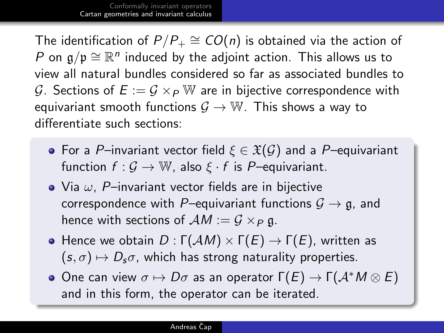The identification of  $P/P_+ \cong CO(n)$  is obtained via the action of P on  $\mathfrak{g}/\mathfrak{p} \cong \mathbb{R}^n$  induced by the adjoint action. This allows us to view all natural bundles considered so far as associated bundles to G. Sections of  $E := \mathcal{G} \times_{\mathcal{P}} \mathbb{W}$  are in bijective correspondence with equivariant smooth functions  $G \to W$ . This shows a way to differentiate such sections:

- For a P–invariant vector field  $\xi \in \mathfrak{X}(\mathcal{G})$  and a P–equivariant function  $f: \mathcal{G} \to \mathbb{W}$ , also  $\xi \cdot f$  is P-equivariant.
- Via  $\omega$ , P-invariant vector fields are in bijective correspondence with P–equivariant functions  $\mathcal{G} \to \mathfrak{g}$ , and hence with sections of  $AM := G \times_P \mathfrak{g}$ .
- Hence we obtain  $D : \Gamma(\mathcal{A}M) \times \Gamma(E) \rightarrow \Gamma(E)$ , written as  $(s, \sigma) \mapsto D_s\sigma$ , which has strong naturality properties.
- One can view  $σ$   $\mapsto$  D $σ$  as an operator  $Γ(E)$   $\rightarrow$   $Γ($  $\mathcal{A}^{*}M \otimes E)$ and in this form, the operator can be iterated.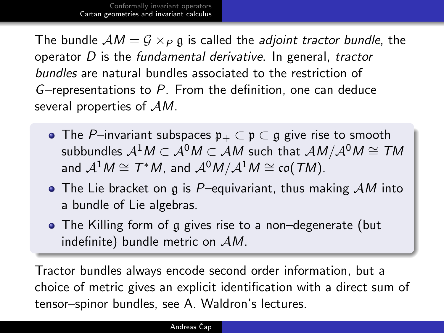The bundle  $AM = G \times_P \mathfrak{g}$  is called the adjoint tractor bundle, the operator D is the fundamental derivative. In general, tractor bundles are natural bundles associated to the restriction of G–representations to P. From the definition, one can deduce several properties of  $AM$ .

- The P–invariant subspaces  $\mathfrak{p}_+ \subset \mathfrak{p} \subset \mathfrak{g}$  give rise to smooth subbundles  $\mathcal{A}^1M \subset \mathcal{A}^0M \subset \mathcal{A}M$  such that  $\mathcal{A}M/\mathcal{A}^0M \cong TM$ and  $\mathcal{A}^1M\cong \mathcal{T}^\ast M$ , and  $\mathcal{A}^0M/\mathcal{A}^1M\cong\mathfrak{co}(\mathcal{T}M).$
- The Lie bracket on g is P-equivariant, thus making  $AM$  into a bundle of Lie algebras.
- The Killing form of g gives rise to a non–degenerate (but indefinite) bundle metric on  $AM$ .

Tractor bundles always encode second order information, but a choice of metric gives an explicit identification with a direct sum of tensor–spinor bundles, see A. Waldron's lectures.